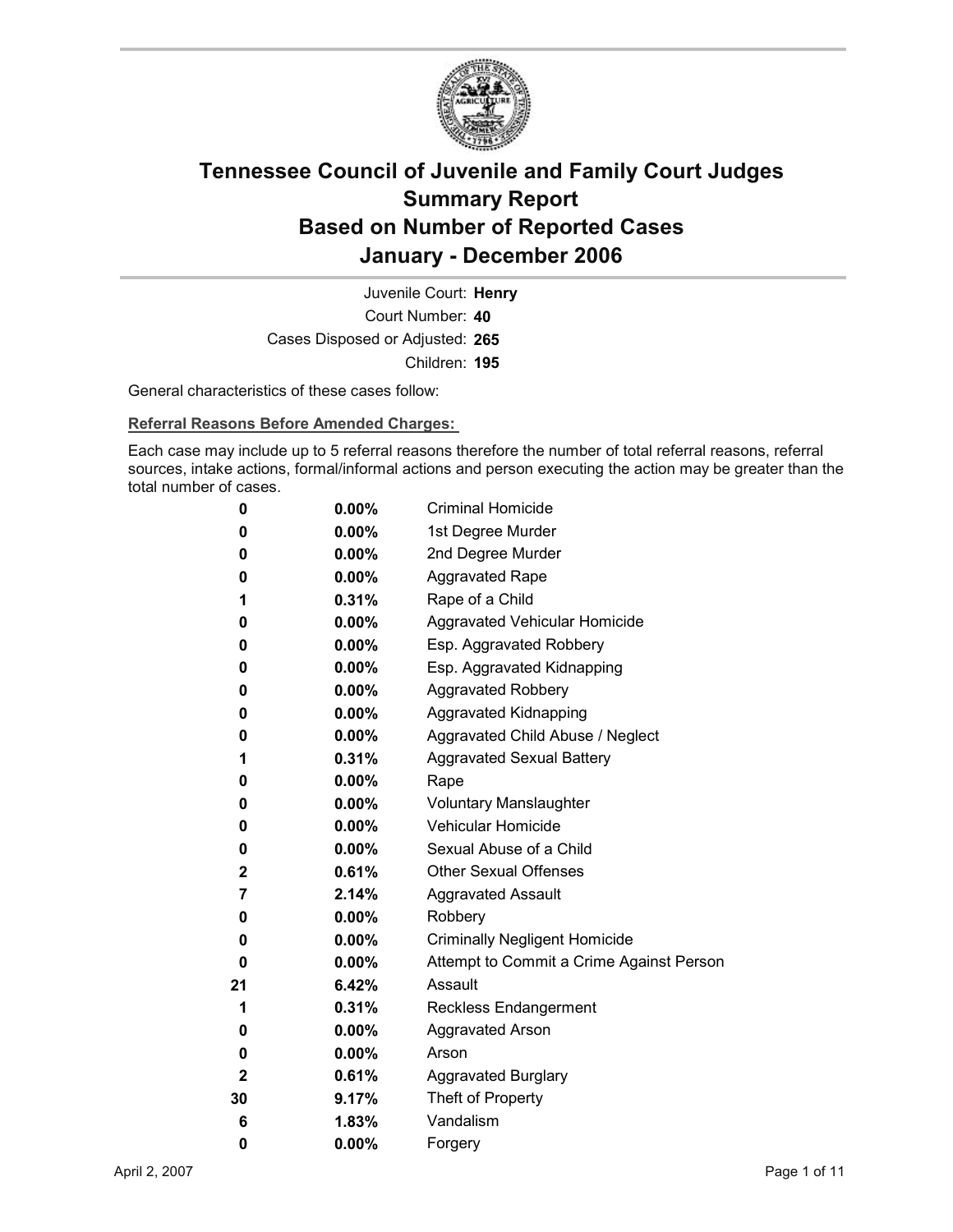

Court Number: **40** Juvenile Court: **Henry** Cases Disposed or Adjusted: **265** Children: **195**

General characteristics of these cases follow:

**Referral Reasons Before Amended Charges:** 

Each case may include up to 5 referral reasons therefore the number of total referral reasons, referral sources, intake actions, formal/informal actions and person executing the action may be greater than the total number of cases.

| 0            | $0.00\%$ | <b>Criminal Homicide</b>                 |
|--------------|----------|------------------------------------------|
| 0            | $0.00\%$ | 1st Degree Murder                        |
| 0            | $0.00\%$ | 2nd Degree Murder                        |
| 0            | $0.00\%$ | <b>Aggravated Rape</b>                   |
| 1            | $0.31\%$ | Rape of a Child                          |
| 0            | $0.00\%$ | Aggravated Vehicular Homicide            |
| 0            | $0.00\%$ | Esp. Aggravated Robbery                  |
| 0            | $0.00\%$ | Esp. Aggravated Kidnapping               |
| 0            | $0.00\%$ | <b>Aggravated Robbery</b>                |
| 0            | $0.00\%$ | <b>Aggravated Kidnapping</b>             |
| 0            | $0.00\%$ | Aggravated Child Abuse / Neglect         |
| 1            | $0.31\%$ | <b>Aggravated Sexual Battery</b>         |
| 0            | $0.00\%$ | Rape                                     |
| 0            | $0.00\%$ | <b>Voluntary Manslaughter</b>            |
| 0            | $0.00\%$ | <b>Vehicular Homicide</b>                |
| 0            | $0.00\%$ | Sexual Abuse of a Child                  |
| $\mathbf{2}$ | $0.61\%$ | <b>Other Sexual Offenses</b>             |
| 7            | $2.14\%$ | <b>Aggravated Assault</b>                |
| 0            | $0.00\%$ | Robbery                                  |
| 0            | $0.00\%$ | <b>Criminally Negligent Homicide</b>     |
| 0            | $0.00\%$ | Attempt to Commit a Crime Against Person |
| 21           | 6.42%    | Assault                                  |
| 1            | 0.31%    | <b>Reckless Endangerment</b>             |
| 0            | $0.00\%$ | <b>Aggravated Arson</b>                  |
| 0            | $0.00\%$ | Arson                                    |
| 2            | $0.61\%$ | <b>Aggravated Burglary</b>               |
| 30           | 9.17%    | Theft of Property                        |
| 6            | 1.83%    | Vandalism                                |
| 0            | 0.00%    | Forgery                                  |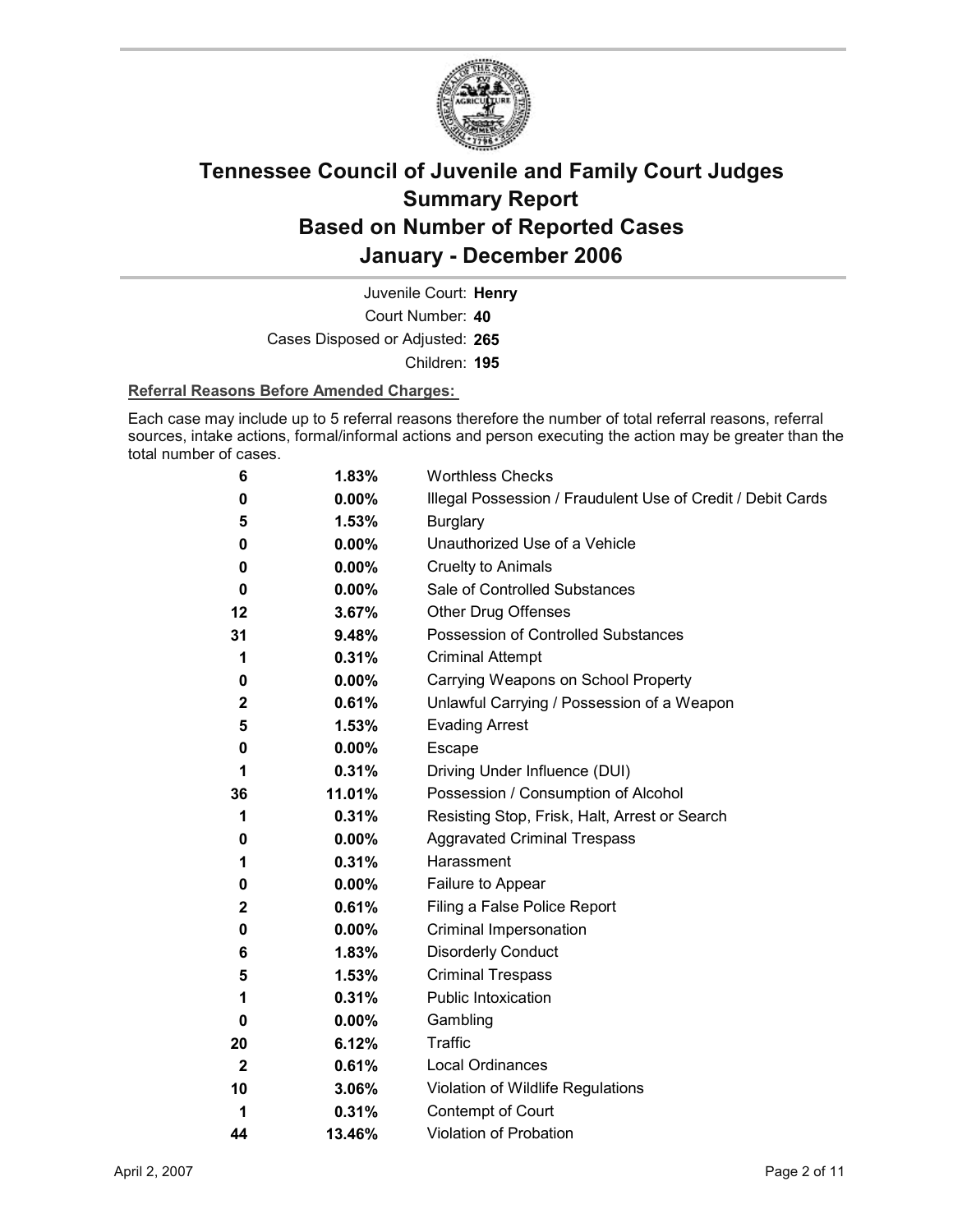

Court Number: **40** Juvenile Court: **Henry** Cases Disposed or Adjusted: **265** Children: **195**

#### **Referral Reasons Before Amended Charges:**

Each case may include up to 5 referral reasons therefore the number of total referral reasons, referral sources, intake actions, formal/informal actions and person executing the action may be greater than the total number of cases.

| 6            | 1.83%    | <b>Worthless Checks</b>                                     |
|--------------|----------|-------------------------------------------------------------|
| 0            | 0.00%    | Illegal Possession / Fraudulent Use of Credit / Debit Cards |
| 5            | 1.53%    | <b>Burglary</b>                                             |
| 0            | $0.00\%$ | Unauthorized Use of a Vehicle                               |
| 0            | 0.00%    | <b>Cruelty to Animals</b>                                   |
| 0            | $0.00\%$ | Sale of Controlled Substances                               |
| 12           | 3.67%    | <b>Other Drug Offenses</b>                                  |
| 31           | 9.48%    | Possession of Controlled Substances                         |
| 1            | 0.31%    | <b>Criminal Attempt</b>                                     |
| 0            | $0.00\%$ | Carrying Weapons on School Property                         |
| $\mathbf{2}$ | 0.61%    | Unlawful Carrying / Possession of a Weapon                  |
| 5            | 1.53%    | <b>Evading Arrest</b>                                       |
| 0            | 0.00%    | Escape                                                      |
| 1            | 0.31%    | Driving Under Influence (DUI)                               |
| 36           | 11.01%   | Possession / Consumption of Alcohol                         |
| 1            | 0.31%    | Resisting Stop, Frisk, Halt, Arrest or Search               |
| 0            | $0.00\%$ | <b>Aggravated Criminal Trespass</b>                         |
| 1            | 0.31%    | Harassment                                                  |
| 0            | 0.00%    | Failure to Appear                                           |
| $\mathbf 2$  | 0.61%    | Filing a False Police Report                                |
| 0            | $0.00\%$ | Criminal Impersonation                                      |
| 6            | 1.83%    | <b>Disorderly Conduct</b>                                   |
| 5            | 1.53%    | <b>Criminal Trespass</b>                                    |
| 1            | 0.31%    | <b>Public Intoxication</b>                                  |
| 0            | $0.00\%$ | Gambling                                                    |
| 20           | 6.12%    | <b>Traffic</b>                                              |
| $\mathbf{2}$ | 0.61%    | <b>Local Ordinances</b>                                     |
| 10           | 3.06%    | Violation of Wildlife Regulations                           |
| 1            | 0.31%    | Contempt of Court                                           |
| 44           | 13.46%   | <b>Violation of Probation</b>                               |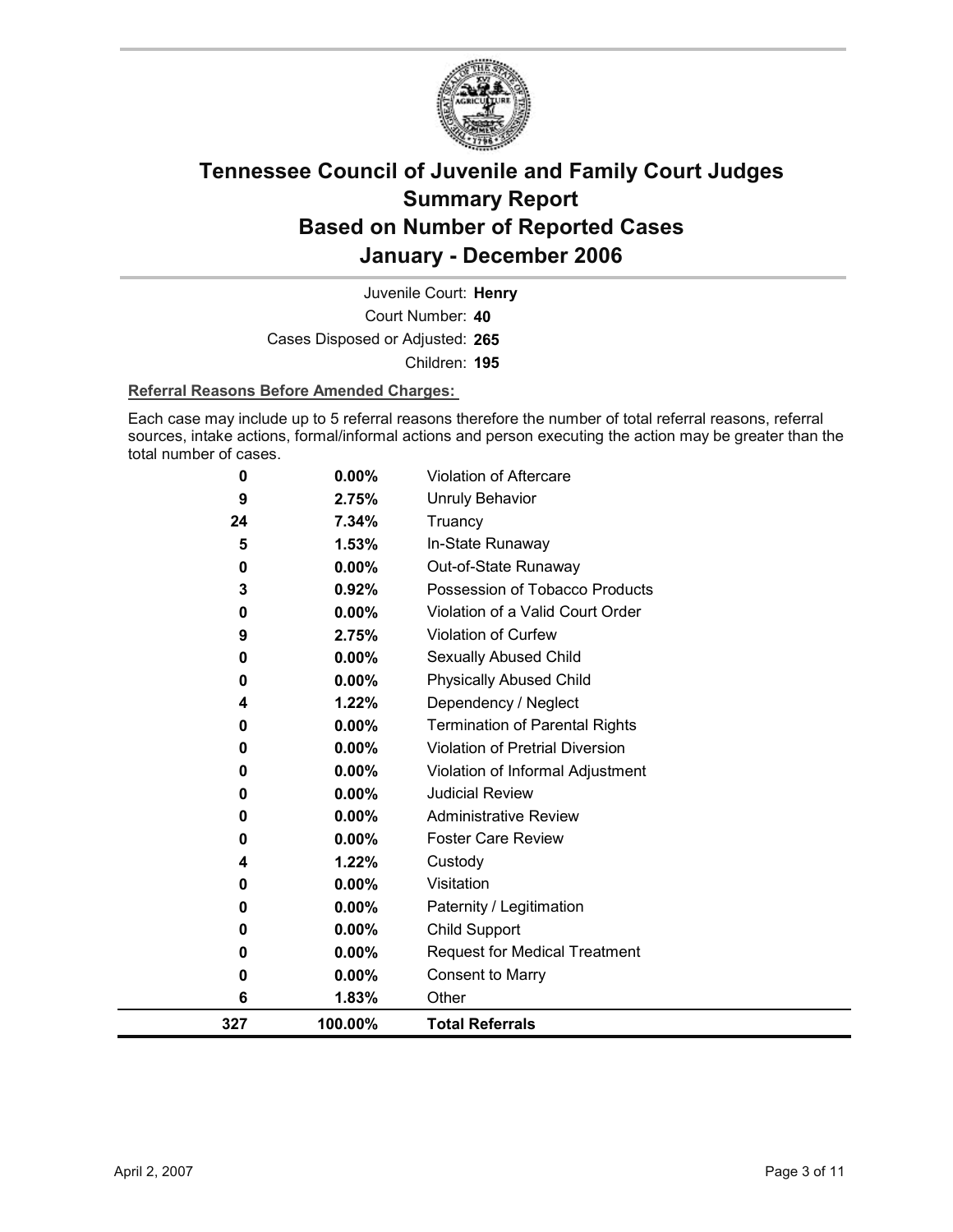

Court Number: **40** Juvenile Court: **Henry** Cases Disposed or Adjusted: **265** Children: **195**

#### **Referral Reasons Before Amended Charges:**

Each case may include up to 5 referral reasons therefore the number of total referral reasons, referral sources, intake actions, formal/informal actions and person executing the action may be greater than the total number of cases.

| 327    | 100.00%        | <b>Total Referrals</b>                 |
|--------|----------------|----------------------------------------|
| 0<br>6 | 0.00%<br>1.83% | <b>Consent to Marry</b><br>Other       |
| 0      | $0.00\%$       | <b>Request for Medical Treatment</b>   |
| 0      | $0.00\%$       | <b>Child Support</b>                   |
| 0      | 0.00%          | Paternity / Legitimation               |
| 0      | $0.00\%$       | Visitation                             |
| 4      | 1.22%          | Custody                                |
| 0      | $0.00\%$       | <b>Foster Care Review</b>              |
| 0      | 0.00%          | <b>Administrative Review</b>           |
| 0      | 0.00%          | <b>Judicial Review</b>                 |
| 0      | 0.00%          | Violation of Informal Adjustment       |
| 0      | 0.00%          | <b>Violation of Pretrial Diversion</b> |
| 0      | 0.00%          | <b>Termination of Parental Rights</b>  |
| 4      | 1.22%          | Dependency / Neglect                   |
| 0      | $0.00\%$       | <b>Physically Abused Child</b>         |
| 0      | 0.00%          | Sexually Abused Child                  |
| 9      | 2.75%          | Violation of Curfew                    |
| 0      | 0.00%          | Violation of a Valid Court Order       |
| 3      | 0.92%          | Possession of Tobacco Products         |
| 0      | 0.00%          | Out-of-State Runaway                   |
| 5      | 1.53%          | In-State Runaway                       |
| 24     | 7.34%          | Truancy                                |
| 9      | 2.75%          | <b>Unruly Behavior</b>                 |
| 0      | 0.00%          | <b>Violation of Aftercare</b>          |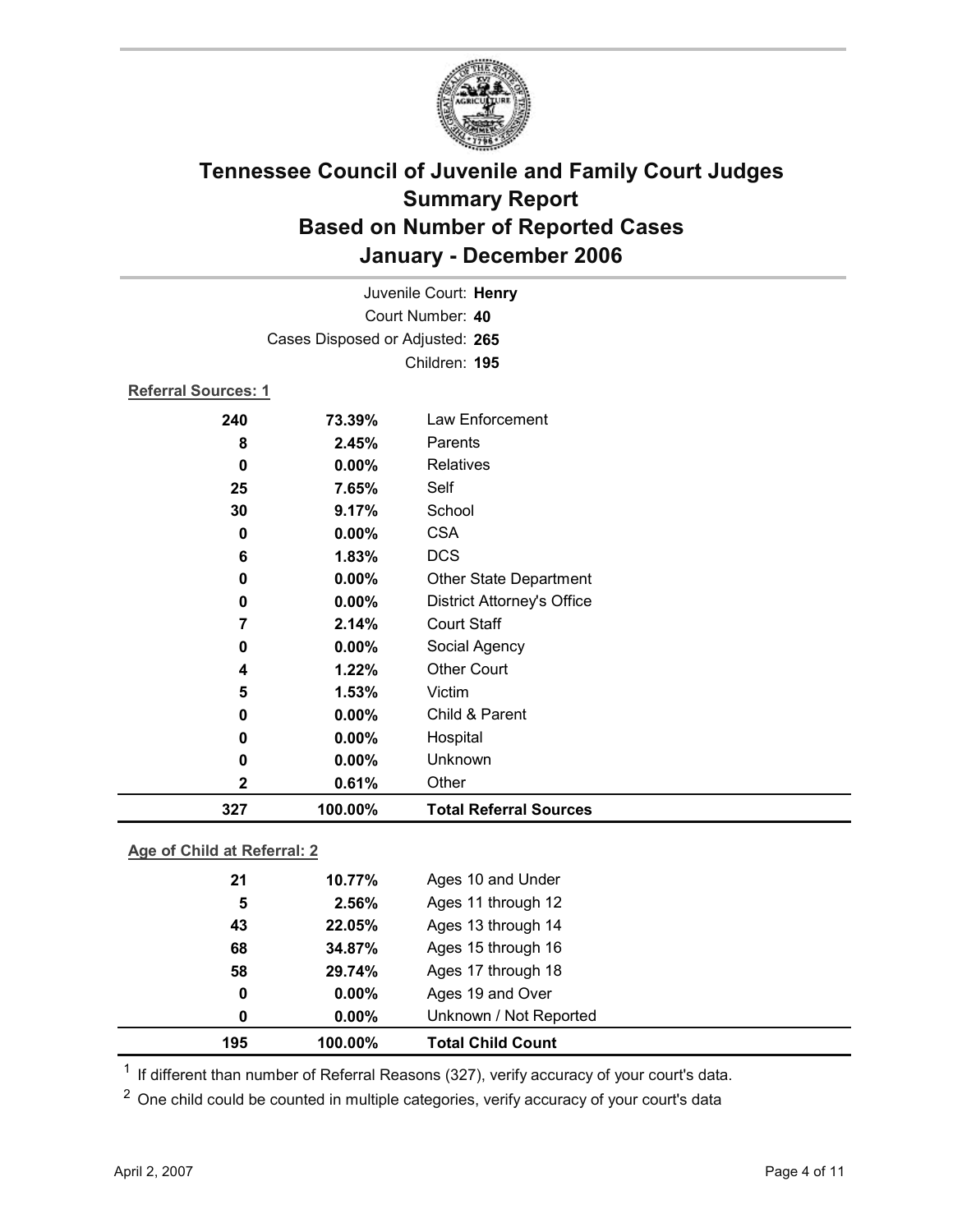

| Juvenile Court: Henry |                                 |                                   |  |  |
|-----------------------|---------------------------------|-----------------------------------|--|--|
|                       | Court Number: 40                |                                   |  |  |
|                       | Cases Disposed or Adjusted: 265 |                                   |  |  |
|                       |                                 | Children: 195                     |  |  |
|                       | Referral Sources: 1             |                                   |  |  |
| 240                   | 73.39%                          | Law Enforcement                   |  |  |
| 8                     | 2.45%                           | Parents                           |  |  |
| $\bf{0}$              | 0.00%                           | Relatives                         |  |  |
| 25                    | 7.65%                           | Self                              |  |  |
| 30                    | 9.17%                           | School                            |  |  |
| 0                     | 0.00%                           | <b>CSA</b>                        |  |  |
| 6                     | 1.83%                           | <b>DCS</b>                        |  |  |
| 0                     | $0.00\%$                        | <b>Other State Department</b>     |  |  |
| 0                     | 0.00%                           | <b>District Attorney's Office</b> |  |  |
| 7                     | 2.14%                           | <b>Court Staff</b>                |  |  |
| 0                     | 0.00%                           | Social Agency                     |  |  |
| 4                     | 1.22%                           | <b>Other Court</b>                |  |  |
| 5                     | 1.53%                           | Victim                            |  |  |
| 0                     | 0.00%                           | Child & Parent                    |  |  |
| 0                     | 0.00%                           | Hospital                          |  |  |
| 0                     | 0.00%                           | Unknown                           |  |  |
| 2                     | 0.61%                           | Other                             |  |  |
| 327                   | 100.00%                         | <b>Total Referral Sources</b>     |  |  |

### **Age of Child at Referral: 2**

| 195 | 100.00%  | <b>Total Child Count</b> |
|-----|----------|--------------------------|
| 0   | $0.00\%$ | Unknown / Not Reported   |
| 0   | $0.00\%$ | Ages 19 and Over         |
| 58  | 29.74%   | Ages 17 through 18       |
| 68  | 34.87%   | Ages 15 through 16       |
| 43  | 22.05%   | Ages 13 through 14       |
| 5   | 2.56%    | Ages 11 through 12       |
| 21  | 10.77%   | Ages 10 and Under        |
|     |          |                          |

<sup>1</sup> If different than number of Referral Reasons (327), verify accuracy of your court's data.

<sup>2</sup> One child could be counted in multiple categories, verify accuracy of your court's data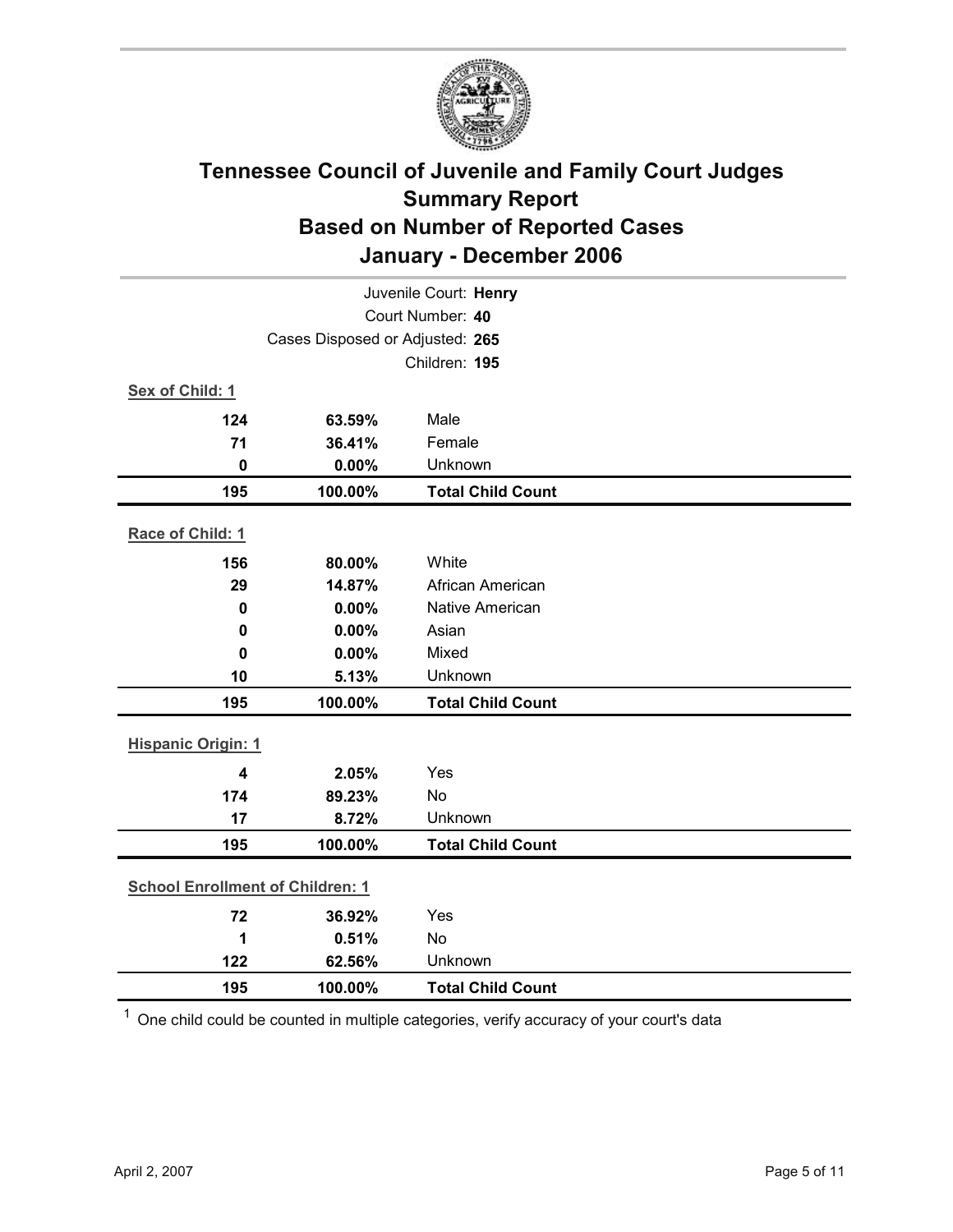

| Juvenile Court: Henry                   |                                 |                          |  |  |  |
|-----------------------------------------|---------------------------------|--------------------------|--|--|--|
| Court Number: 40                        |                                 |                          |  |  |  |
|                                         | Cases Disposed or Adjusted: 265 |                          |  |  |  |
|                                         |                                 | Children: 195            |  |  |  |
| Sex of Child: 1                         |                                 |                          |  |  |  |
| 124                                     | 63.59%                          | Male                     |  |  |  |
| 71                                      | 36.41%                          | Female                   |  |  |  |
| $\mathbf 0$                             | 0.00%                           | Unknown                  |  |  |  |
| 195                                     | 100.00%                         | <b>Total Child Count</b> |  |  |  |
| Race of Child: 1                        |                                 |                          |  |  |  |
| 156                                     | 80.00%                          | White                    |  |  |  |
| 29                                      | 14.87%                          | African American         |  |  |  |
| $\mathbf 0$                             | 0.00%                           | Native American          |  |  |  |
| $\mathbf 0$                             | 0.00%                           | Asian                    |  |  |  |
| $\mathbf 0$                             | 0.00%                           | Mixed                    |  |  |  |
| 10                                      | 5.13%                           | Unknown                  |  |  |  |
| 195                                     | 100.00%                         | <b>Total Child Count</b> |  |  |  |
| <b>Hispanic Origin: 1</b>               |                                 |                          |  |  |  |
| $\overline{\mathbf{4}}$                 | 2.05%                           | Yes                      |  |  |  |
| 174                                     | 89.23%                          | No                       |  |  |  |
| 17                                      | 8.72%                           | Unknown                  |  |  |  |
| 195                                     | 100.00%                         | <b>Total Child Count</b> |  |  |  |
| <b>School Enrollment of Children: 1</b> |                                 |                          |  |  |  |
|                                         |                                 |                          |  |  |  |
| 72                                      | 36.92%                          | Yes                      |  |  |  |
| 1                                       | 0.51%                           | <b>No</b>                |  |  |  |
| 122                                     | 62.56%                          | Unknown                  |  |  |  |
| 195                                     | 100.00%                         | <b>Total Child Count</b> |  |  |  |

 $1$  One child could be counted in multiple categories, verify accuracy of your court's data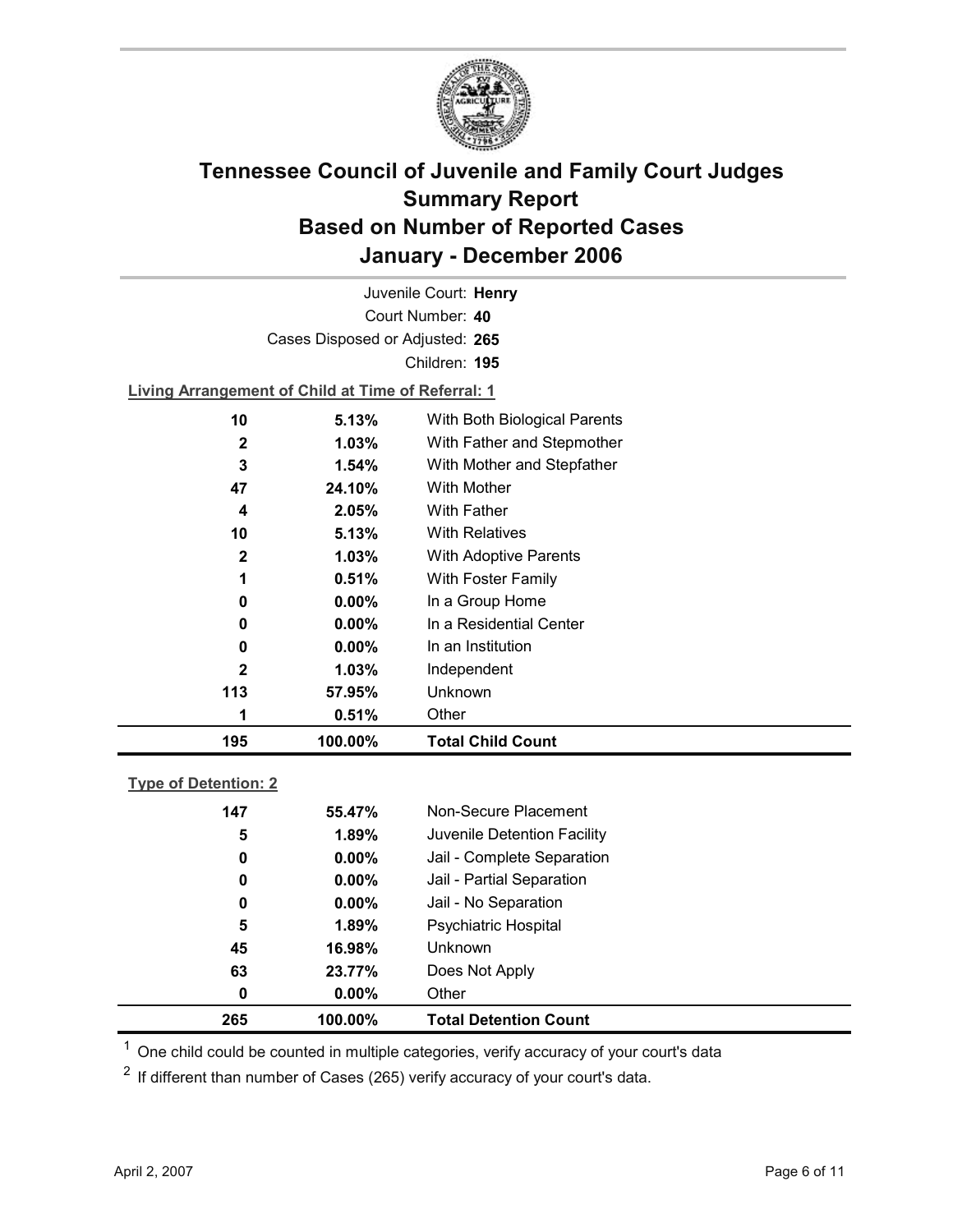

Court Number: **40** Juvenile Court: **Henry** Cases Disposed or Adjusted: **265** Children: **195**

**Living Arrangement of Child at Time of Referral: 1**

| 195          | 100.00%  | <b>Total Child Count</b>     |  |
|--------------|----------|------------------------------|--|
|              | 0.51%    | Other                        |  |
| 113          | 57.95%   | Unknown                      |  |
| $\mathbf{2}$ | 1.03%    | Independent                  |  |
| 0            | $0.00\%$ | In an Institution            |  |
| 0            | $0.00\%$ | In a Residential Center      |  |
| 0            | $0.00\%$ | In a Group Home              |  |
| 1            | 0.51%    | With Foster Family           |  |
| $\mathbf{2}$ | 1.03%    | With Adoptive Parents        |  |
| 10           | 5.13%    | <b>With Relatives</b>        |  |
| 4            | 2.05%    | <b>With Father</b>           |  |
| 47           | 24.10%   | With Mother                  |  |
| 3            | 1.54%    | With Mother and Stepfather   |  |
| $\mathbf{2}$ | 1.03%    | With Father and Stepmother   |  |
| 10           | 5.13%    | With Both Biological Parents |  |
|              |          |                              |  |

#### **Type of Detention: 2**

| 265 | 100.00%  | <b>Total Detention Count</b> |
|-----|----------|------------------------------|
| 0   | $0.00\%$ | Other                        |
| 63  | 23.77%   | Does Not Apply               |
| 45  | 16.98%   | <b>Unknown</b>               |
| 5   | 1.89%    | <b>Psychiatric Hospital</b>  |
| 0   | $0.00\%$ | Jail - No Separation         |
| 0   | $0.00\%$ | Jail - Partial Separation    |
| 0   | $0.00\%$ | Jail - Complete Separation   |
| 5   | 1.89%    | Juvenile Detention Facility  |
| 147 | 55.47%   | Non-Secure Placement         |
|     |          |                              |

 $<sup>1</sup>$  One child could be counted in multiple categories, verify accuracy of your court's data</sup>

 $2$  If different than number of Cases (265) verify accuracy of your court's data.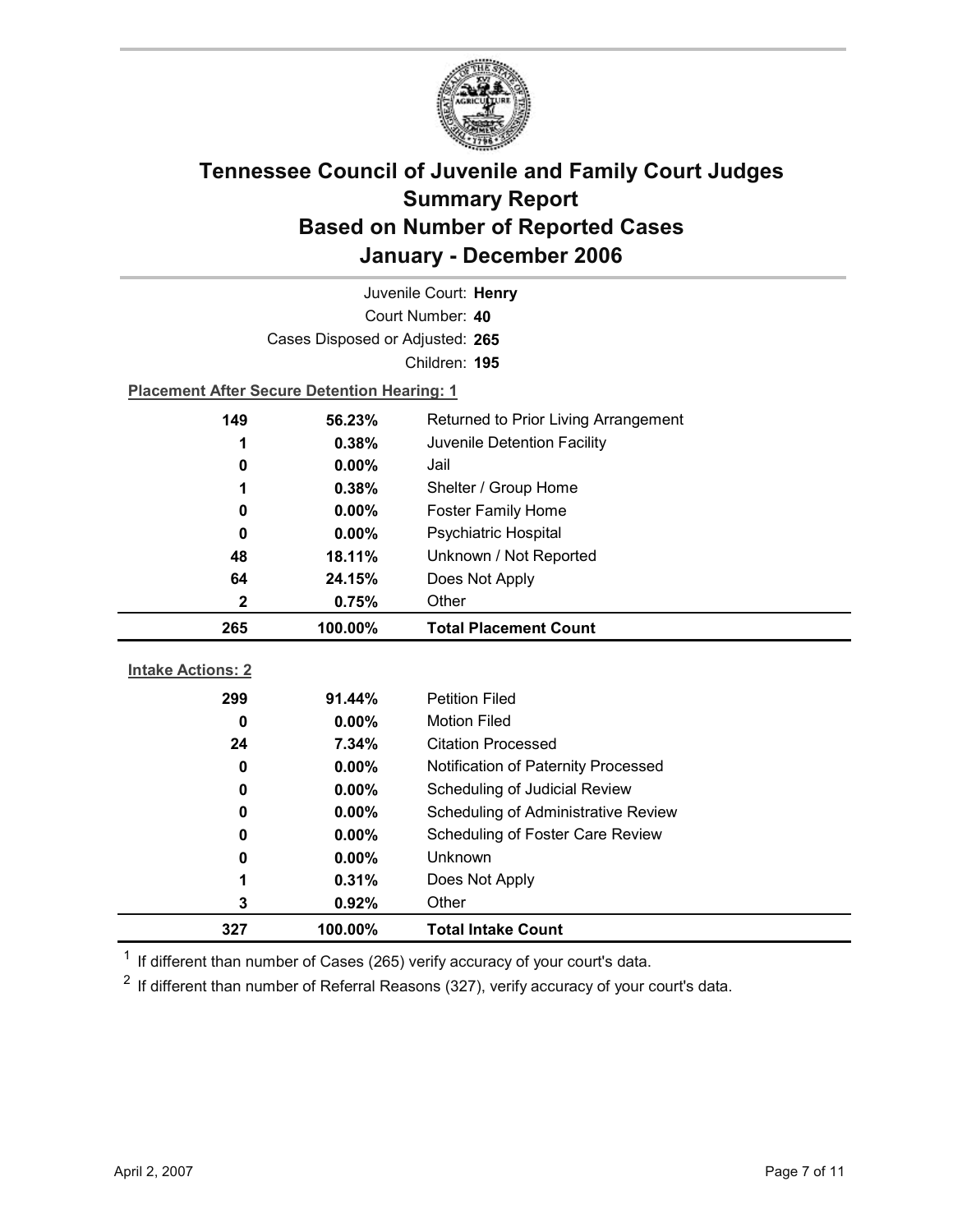

| Juvenile Court: Henry<br>Court Number: 40 |                                                    |                                      |  |  |
|-------------------------------------------|----------------------------------------------------|--------------------------------------|--|--|
|                                           |                                                    |                                      |  |  |
|                                           | Cases Disposed or Adjusted: 265                    |                                      |  |  |
|                                           |                                                    | Children: 195                        |  |  |
|                                           | <b>Placement After Secure Detention Hearing: 1</b> |                                      |  |  |
| 149                                       | 56.23%                                             | Returned to Prior Living Arrangement |  |  |
| 1                                         | 0.38%                                              | Juvenile Detention Facility          |  |  |
| 0                                         | $0.00\%$                                           | Jail                                 |  |  |
| 1                                         | 0.38%                                              | Shelter / Group Home                 |  |  |
| 0                                         | $0.00\%$                                           | <b>Foster Family Home</b>            |  |  |
| 0                                         | $0.00\%$                                           | Psychiatric Hospital                 |  |  |
| 48                                        | 18.11%                                             | Unknown / Not Reported               |  |  |
| 64                                        | 24.15%                                             | Does Not Apply                       |  |  |
| 2                                         | 0.75%                                              | Other                                |  |  |
|                                           |                                                    |                                      |  |  |
| 265                                       | 100.00%                                            | <b>Total Placement Count</b>         |  |  |
|                                           |                                                    |                                      |  |  |
| <b>Intake Actions: 2</b>                  |                                                    |                                      |  |  |
| 299                                       | 91.44%                                             | <b>Petition Filed</b>                |  |  |
| 0                                         | 0.00%                                              | <b>Motion Filed</b>                  |  |  |
| 24                                        | 7.34%                                              | <b>Citation Processed</b>            |  |  |
| 0                                         | $0.00\%$                                           | Notification of Paternity Processed  |  |  |
| 0                                         | 0.00%                                              | Scheduling of Judicial Review        |  |  |
| 0                                         | 0.00%                                              | Scheduling of Administrative Review  |  |  |
| 0                                         | $0.00\%$                                           | Scheduling of Foster Care Review     |  |  |
| 0                                         | $0.00\%$                                           | Unknown                              |  |  |
| 1                                         | 0.31%                                              | Does Not Apply                       |  |  |
| 3                                         | 0.92%                                              | Other                                |  |  |

 $1$  If different than number of Cases (265) verify accuracy of your court's data.

 $2$  If different than number of Referral Reasons (327), verify accuracy of your court's data.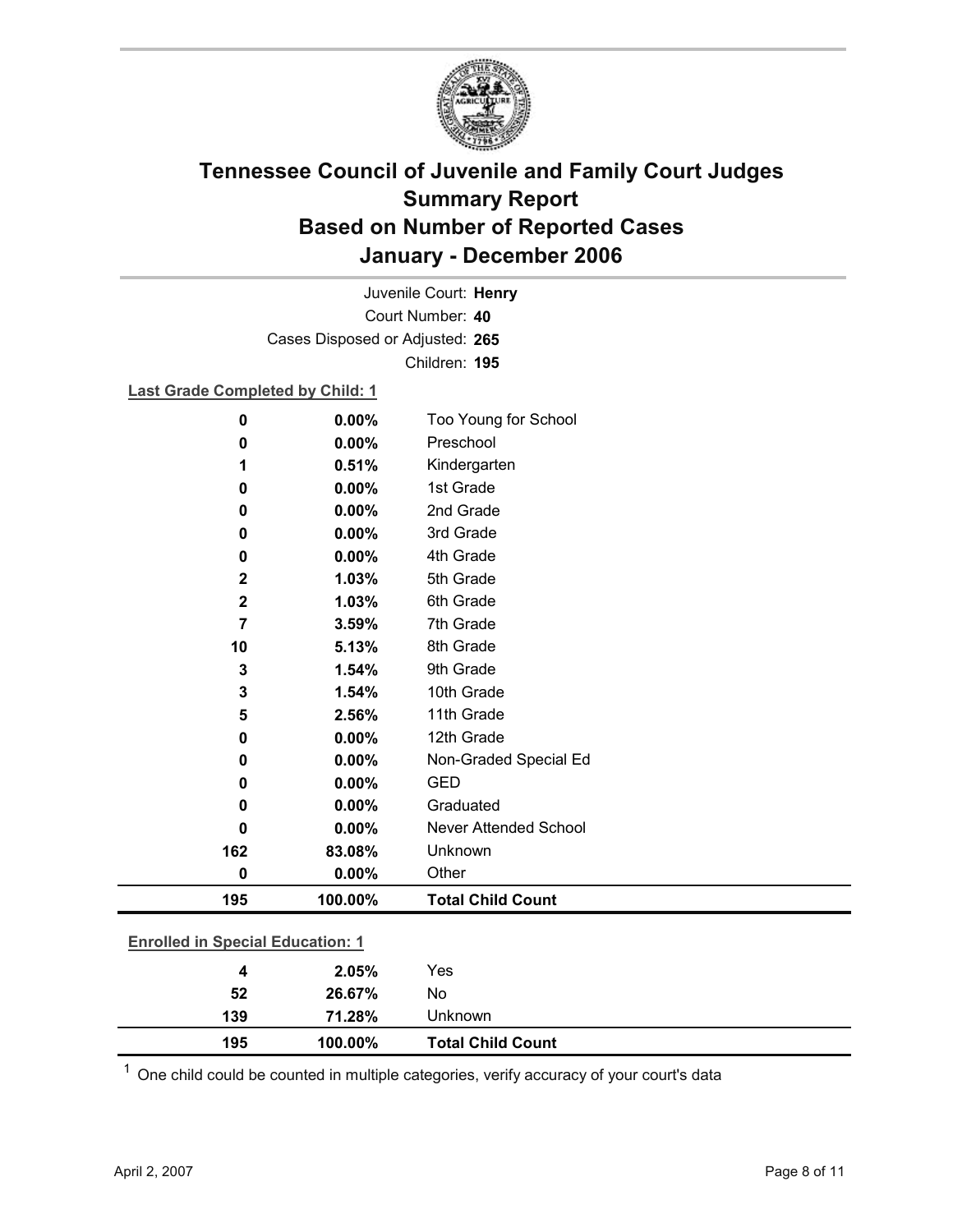

Court Number: **40** Juvenile Court: **Henry** Cases Disposed or Adjusted: **265** Children: **195**

### **Last Grade Completed by Child: 1**

| $\mathbf 0$                             | 0.00%   | Too Young for School         |  |
|-----------------------------------------|---------|------------------------------|--|
| 0                                       | 0.00%   | Preschool                    |  |
| 1                                       | 0.51%   | Kindergarten                 |  |
| 0                                       | 0.00%   | 1st Grade                    |  |
| 0                                       | 0.00%   | 2nd Grade                    |  |
| 0                                       | 0.00%   | 3rd Grade                    |  |
| 0                                       | 0.00%   | 4th Grade                    |  |
| $\mathbf 2$                             | 1.03%   | 5th Grade                    |  |
| $\mathbf 2$                             | 1.03%   | 6th Grade                    |  |
| 7                                       | 3.59%   | 7th Grade                    |  |
| 10                                      | 5.13%   | 8th Grade                    |  |
| $\mathbf{3}$                            | 1.54%   | 9th Grade                    |  |
| 3                                       | 1.54%   | 10th Grade                   |  |
| 5                                       | 2.56%   | 11th Grade                   |  |
| 0                                       | 0.00%   | 12th Grade                   |  |
| $\bf{0}$                                | 0.00%   | Non-Graded Special Ed        |  |
| 0                                       | 0.00%   | <b>GED</b>                   |  |
| 0                                       | 0.00%   | Graduated                    |  |
| 0                                       | 0.00%   | <b>Never Attended School</b> |  |
| 162                                     | 83.08%  | Unknown                      |  |
| $\mathbf 0$                             | 0.00%   | Other                        |  |
| 195                                     | 100.00% | <b>Total Child Count</b>     |  |
| <b>Enrolled in Special Education: 1</b> |         |                              |  |
| 4                                       | 2.05%   | Yes                          |  |
| 52                                      | 26.67%  | No                           |  |

 $1$  One child could be counted in multiple categories, verify accuracy of your court's data

**195 100.00% Total Child Count**

**139 71.28%** Unknown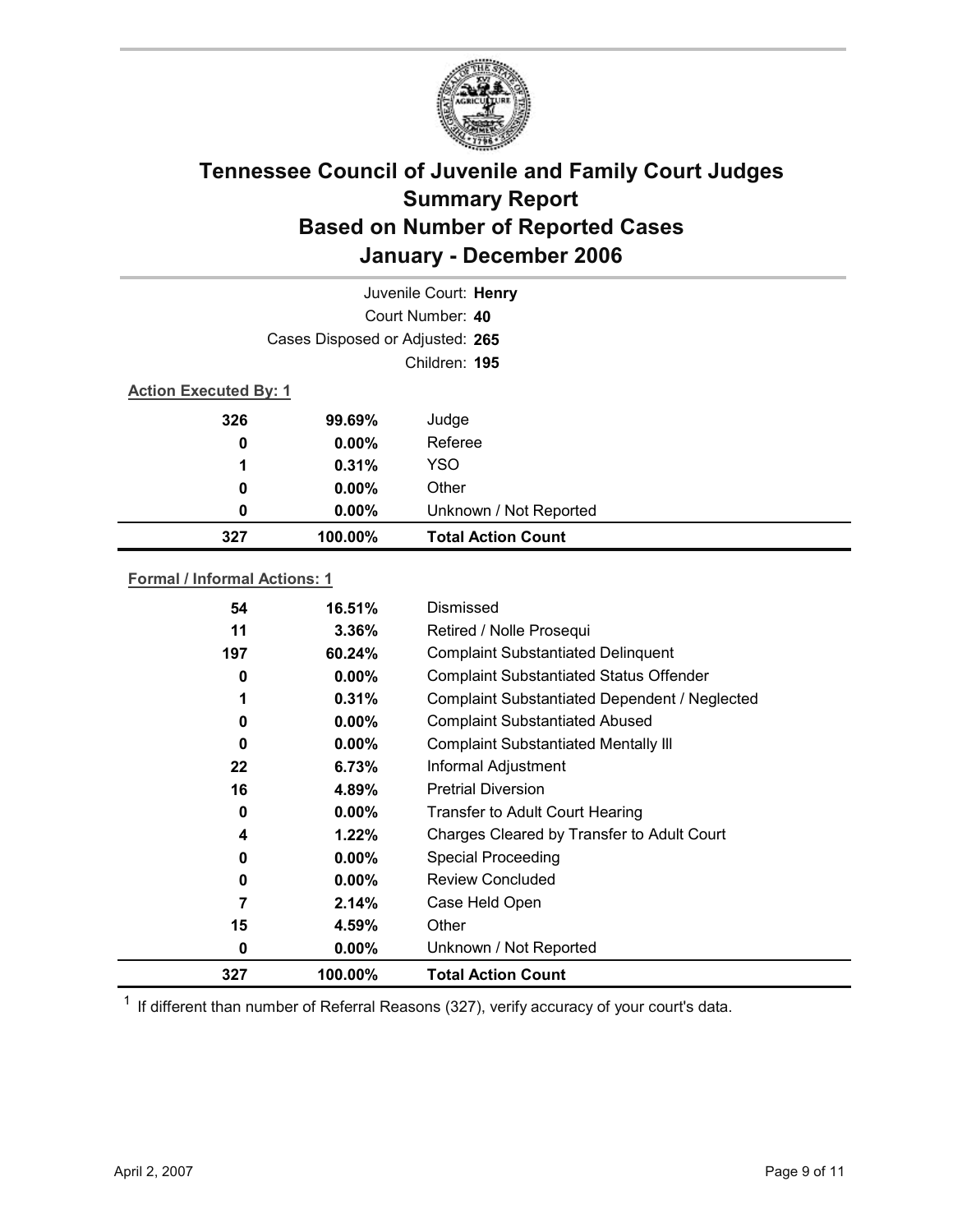

|                              | Juvenile Court: Henry           |                           |
|------------------------------|---------------------------------|---------------------------|
|                              |                                 | Court Number: 40          |
|                              | Cases Disposed or Adjusted: 265 |                           |
|                              |                                 | Children: 195             |
| <b>Action Executed By: 1</b> |                                 |                           |
| 326<br>99.69%                |                                 | Judge                     |
| 0                            | $0.00\%$                        | Referee                   |
| 1                            | 0.31%                           | <b>YSO</b>                |
| 0                            | $0.00\%$                        | Other                     |
| 0                            | $0.00\%$                        | Unknown / Not Reported    |
| 327                          | 100.00%                         | <b>Total Action Count</b> |

### **Formal / Informal Actions: 1**

| 54  | 16.51%   | Dismissed                                      |
|-----|----------|------------------------------------------------|
| 11  | $3.36\%$ | Retired / Nolle Prosequi                       |
| 197 | 60.24%   | <b>Complaint Substantiated Delinquent</b>      |
| 0   | $0.00\%$ | <b>Complaint Substantiated Status Offender</b> |
|     | 0.31%    | Complaint Substantiated Dependent / Neglected  |
| 0   | $0.00\%$ | <b>Complaint Substantiated Abused</b>          |
| 0   | $0.00\%$ | <b>Complaint Substantiated Mentally III</b>    |
| 22  | 6.73%    | Informal Adjustment                            |
| 16  | 4.89%    | <b>Pretrial Diversion</b>                      |
| 0   | $0.00\%$ | Transfer to Adult Court Hearing                |
| 4   | 1.22%    | Charges Cleared by Transfer to Adult Court     |
| 0   | $0.00\%$ | <b>Special Proceeding</b>                      |
| 0   | $0.00\%$ | <b>Review Concluded</b>                        |
|     | 2.14%    | Case Held Open                                 |
| 15  | 4.59%    | Other                                          |
| 0   | $0.00\%$ | Unknown / Not Reported                         |
| 327 | 100.00%  | <b>Total Action Count</b>                      |

 $1$  If different than number of Referral Reasons (327), verify accuracy of your court's data.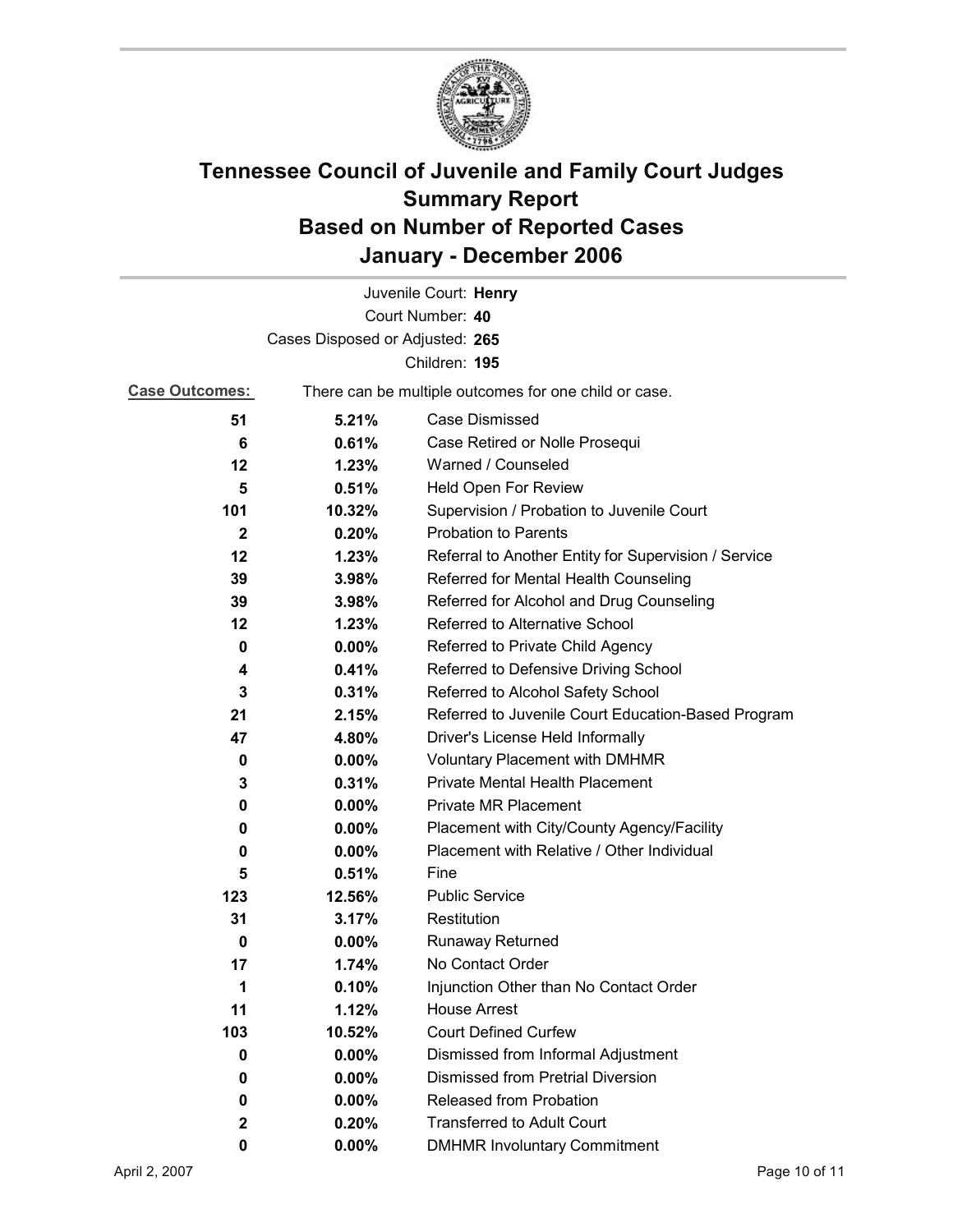

|                                 |          | Juvenile Court: Henry                                 |
|---------------------------------|----------|-------------------------------------------------------|
|                                 |          | Court Number: 40                                      |
| Cases Disposed or Adjusted: 265 |          |                                                       |
|                                 |          | Children: 195                                         |
| <b>Case Outcomes:</b>           |          | There can be multiple outcomes for one child or case. |
| 51                              | 5.21%    | Case Dismissed                                        |
| 6                               | 0.61%    | Case Retired or Nolle Prosequi                        |
| 12                              | 1.23%    | Warned / Counseled                                    |
| 5                               | 0.51%    | Held Open For Review                                  |
| 101                             | 10.32%   | Supervision / Probation to Juvenile Court             |
| $\mathbf{2}$                    | 0.20%    | <b>Probation to Parents</b>                           |
| 12                              | 1.23%    | Referral to Another Entity for Supervision / Service  |
| 39                              | 3.98%    | Referred for Mental Health Counseling                 |
| 39                              | 3.98%    | Referred for Alcohol and Drug Counseling              |
| 12                              | 1.23%    | Referred to Alternative School                        |
| 0                               | $0.00\%$ | Referred to Private Child Agency                      |
| 4                               | 0.41%    | Referred to Defensive Driving School                  |
| 3                               | 0.31%    | Referred to Alcohol Safety School                     |
| 21                              | 2.15%    | Referred to Juvenile Court Education-Based Program    |
| 47                              | 4.80%    | Driver's License Held Informally                      |
| 0                               | $0.00\%$ | <b>Voluntary Placement with DMHMR</b>                 |
| 3                               | 0.31%    | Private Mental Health Placement                       |
| 0                               | $0.00\%$ | <b>Private MR Placement</b>                           |
| 0                               | $0.00\%$ | Placement with City/County Agency/Facility            |
| 0                               | 0.00%    | Placement with Relative / Other Individual            |
| 5                               | 0.51%    | Fine                                                  |
| 123                             | 12.56%   | <b>Public Service</b>                                 |
| 31                              | 3.17%    | Restitution                                           |
| 0                               | $0.00\%$ | <b>Runaway Returned</b>                               |
| 17                              | 1.74%    | No Contact Order                                      |
| 1                               | 0.10%    | Injunction Other than No Contact Order                |
| 11                              | 1.12%    | <b>House Arrest</b>                                   |
| 103                             | 10.52%   | <b>Court Defined Curfew</b>                           |
| 0                               | $0.00\%$ | Dismissed from Informal Adjustment                    |
| 0                               | 0.00%    | <b>Dismissed from Pretrial Diversion</b>              |
| 0                               | $0.00\%$ | Released from Probation                               |
| $\mathbf{2}$                    | 0.20%    | <b>Transferred to Adult Court</b>                     |
| 0                               | $0.00\%$ | <b>DMHMR Involuntary Commitment</b>                   |